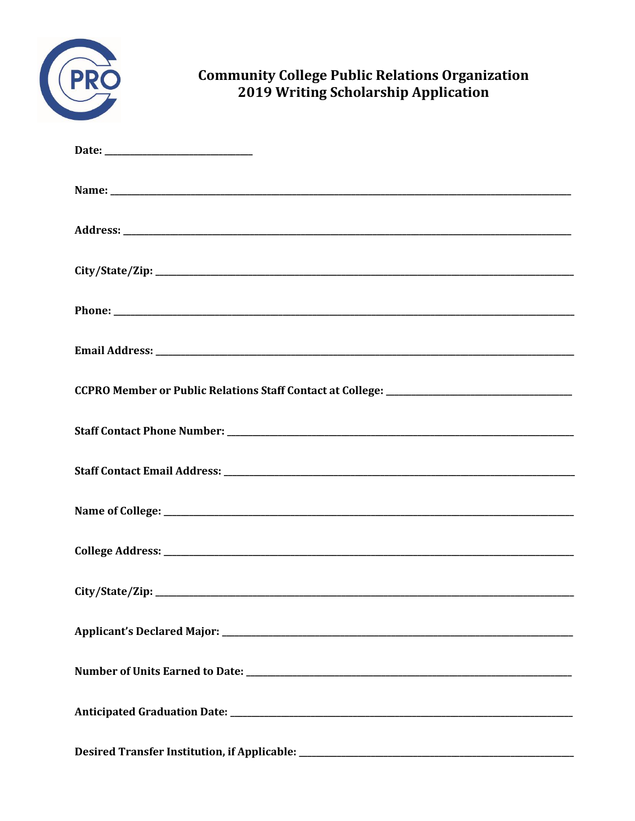

# **Community College Public Relations Organization<br>2019 Writing Scholarship Application**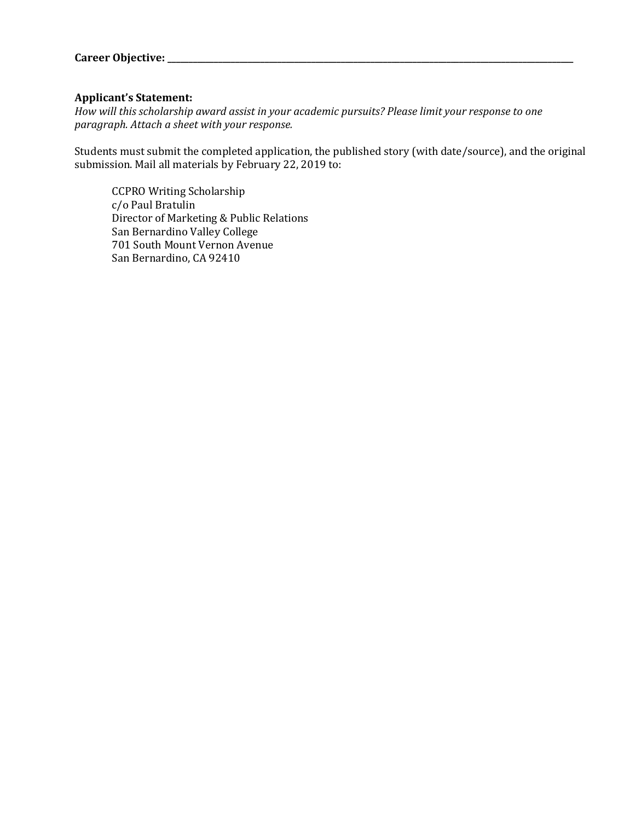#### **Applicant's Statement:**

*How will this scholarship award assist in your academic pursuits? Please limit your response to one paragraph. Attach a sheet with your response.*

Students must submit the completed application, the published story (with date/source), and the original submission. Mail all materials by February 22, 2019 to:

CCPRO Writing Scholarship c/o Paul Bratulin Director of Marketing & Public Relations San Bernardino Valley College 701 South Mount Vernon Avenue San Bernardino, CA 92410